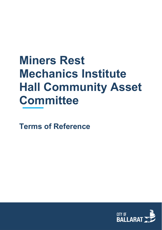# **Miners Rest Mechanics Institute Hall Community Asset Committee**

**Terms of Reference**

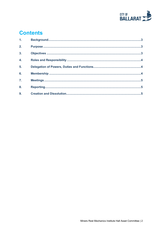

# **Contents**

| 1 <sub>1</sub>   |  |
|------------------|--|
| 2.               |  |
| $\overline{3}$ . |  |
| $\overline{4}$ . |  |
| 5.               |  |
| 6.               |  |
| $\overline{7}$ . |  |
| 8.               |  |
| 9.               |  |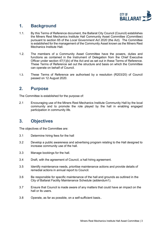

## <span id="page-2-0"></span>**1. Background**

- 1.1. By this Terms of Reference document, the Ballarat City Council (Council) establishes the Miners Rest Mechanics Institute Hall Community Asset Committee (Committee) pursuant to section 65 of the *Local Government Act 2020* (the Act). The Committee is established for the management of the Community Asset known as the Miners Rest Mechanics Institute Hall.
- 1.2. The members of a Community Asset Committee have the powers, duties and functions as contained in the Instrument of Delegation from the Chief Executive Officer under section 47(1)(b) of the Act and as set out in these Terms of Reference. These Terms of Reference set out the structure and basis on which the Committee can operate on behalf of Council.
- 1.3. These Terms of Reference are authorised by a resolution (R203/20) of Council passed on 12 August 2020.

#### <span id="page-2-1"></span>**2. Purpose**

The Committee is established for the purpose of:

2.1 Encouraging use of the Miners Rest Mechanics Institute Community Hall by the local community and to promote the role played by the hall in enabling engaged participation in community life.

# <span id="page-2-2"></span>**3. Objectives**

The objectives of the Committee are:

- 3.1 Determine hiring fees for the hall
- 3.2 Develop a public awareness and advertising program relating to the Hall designed to increase community use of the hall.
- 3.3 Manage bookings for the hall.
- 3.4 Draft, with the agreement of Council, a hall hiring agreement.
- 3.5 Identify maintenance needs, prioritise maintenance actions and provide details of remedial actions in annual report to Council.
- 3.6 Be responsible for specific maintenance of the hall and grounds as outlined in the City of Ballarat Facility Maintenance Schedule (addendum1).
- 3.7 Ensure that Council is made aware of any matters that could have an impact on the hall or its users.
- 3.8 Operate, as far as possible, on a self-sufficient basis..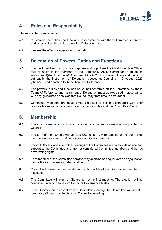

## <span id="page-3-0"></span>**4. Roles and Responsibility**

The role of the Committee is:

- 4.1 to exercise the duties and functions, in accordance with these Terms of Reference and as permitted by the Instrument of Delegation; and
- 4.2 oversee the effective operation of the hall.

#### <span id="page-3-1"></span>**5. Delegation of Powers, Duties and Functions**

- 5.1 In order to fulfil and carry out its purposes and objectives the Chief Executive Officer may delegate to the members of the Community Asset Committee, pursuant to section 47(1)(b) of the *Local Government Act 2020*, the powers, duties and functions set out in the Instrument of Delegation passed at Council on 12 August 2020 (R206/20) and attached to these Terms of Reference.
- 5.2 The powers, duties and functions of Council conferred on the Committee by these Terms of Reference and Instrument of Delegation must be exercised in accordance with any quidelines or policies that Council may from time to time adopt.
- 5.3 Committee members are at all times expected to act in accordance with their responsibilities set out in Council's Governance Rules and the Committee Policy.

#### <span id="page-3-2"></span>**6. Membership**

- 6.1. The Committee will consist of a minimum of 7 community members appointed by Council
- 6.2. The term of membership will be for a Council term. A re-appointment of committee members must occur by 30 June after each Council election
- 6.3. Council Officers who attend the meetings of the Committee are to provide advice and support to the Committee and are not considered Committee members and do not have voting rights.
- 6.4. Each member of the Committee has and may exercise one equal vote on any question before the Committee for determination.
- 6.5. Council will revise the membership and voting rights of each Committee member as it sees fit.
- 6.6. The Committee will elect a Chairperson at its first meeting. The election will be conducted in accordance with Council's Governance Rules.
- 6.7. If the Chairperson is absent from a Committee meeting, the Committee will select a temporary Chairperson to chair the Committee meeting.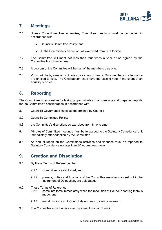

## <span id="page-4-0"></span>**7. Meetings**

- 7.1 Unless Council resolves otherwise, Committee meetings must be conducted in accordance with:
	- Council's Committee Policy; and
	- At the Committee's discretion, as exercised from time to time.
- 7.2 The Committee will meet not less than four times a year or as agreed by the Committee from time to time.
- 7.3 A quorum of the Committee will be half of the members plus one.
- 7.4 Voting will be by a majority of votes by a show of hands. Only members in attendance are entitled to vote. The Chairperson shall have the casting vote in the event of an equality of votes.

#### <span id="page-4-1"></span>**8. Reporting**

The Committee is responsible for taking proper minutes of all meetings and preparing reports for the Committee's consideration in accordance with:

- 8.1 Council's Governance Rules as determined by Council;
- 8.2 Council's Committee Policy;
- 8.3 the Committee's discretion, as exercised from time to time;
- 8.4 Minutes of Committee meetings must be forwarded to the Statutory Compliance Unit immediately after adoption by the Committee.
- 8.5 An annual report on the Committees activities and finances must be reported to Statutory Compliance no later than 30 August each year

#### <span id="page-4-2"></span>**9. Creation and Dissolution**

- 9.1 By these Terms of Reference, the:
	- 9.1.1 Committee is established; and
	- 9.1.2 powers, duties and functions of the Committee members, as set out in the Instrument of Delegation, are delegated.
- 9.2 These Terms of Reference
	- 9.2.1 come into force immediately when the resolution of Council adopting them is made; and
	- 9.2.2 remain in force until Council determines to vary or revoke it.
- 9.3 The Committee must be dissolved by a resolution of Council.